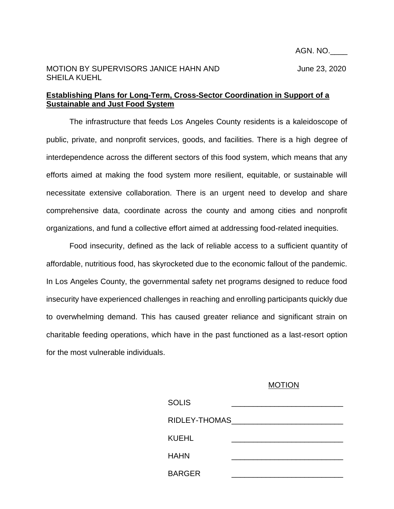## MOTION BY SUPERVISORS JANICE HAHN AND June 23, 2020 SHEILA KUEHL

## **Establishing Plans for Long-Term, Cross-Sector Coordination in Support of a Sustainable and Just Food System**

The infrastructure that feeds Los Angeles County residents is a kaleidoscope of public, private, and nonprofit services, goods, and facilities. There is a high degree of interdependence across the different sectors of this food system, which means that any efforts aimed at making the food system more resilient, equitable, or sustainable will necessitate extensive collaboration. There is an urgent need to develop and share comprehensive data, coordinate across the county and among cities and nonprofit organizations, and fund a collective effort aimed at addressing food-related inequities.

Food insecurity, defined as the lack of reliable access to a sufficient quantity of affordable, nutritious food, has skyrocketed due to the economic fallout of the pandemic. In Los Angeles County, the governmental safety net programs designed to reduce food insecurity have experienced challenges in reaching and enrolling participants quickly due to overwhelming demand. This has caused greater reliance and significant strain on charitable feeding operations, which have in the past functioned as a last-resort option for the most vulnerable individuals.

## MOTION

| <b>SOLIS</b>  |  |
|---------------|--|
| RIDLEY-THOMAS |  |
| <b>KUEHL</b>  |  |
| <b>HAHN</b>   |  |
| <b>BARGER</b> |  |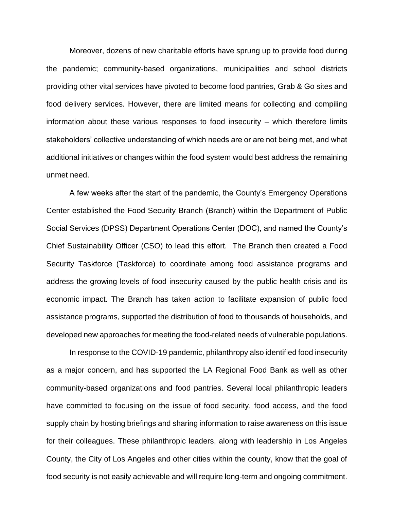Moreover, dozens of new charitable efforts have sprung up to provide food during the pandemic; community-based organizations, municipalities and school districts providing other vital services have pivoted to become food pantries, Grab & Go sites and food delivery services. However, there are limited means for collecting and compiling information about these various responses to food insecurity – which therefore limits stakeholders' collective understanding of which needs are or are not being met, and what additional initiatives or changes within the food system would best address the remaining unmet need.

A few weeks after the start of the pandemic, the County's Emergency Operations Center established the Food Security Branch (Branch) within the Department of Public Social Services (DPSS) Department Operations Center (DOC), and named the County's Chief Sustainability Officer (CSO) to lead this effort. The Branch then created a Food Security Taskforce (Taskforce) to coordinate among food assistance programs and address the growing levels of food insecurity caused by the public health crisis and its economic impact. The Branch has taken action to facilitate expansion of public food assistance programs, supported the distribution of food to thousands of households, and developed new approaches for meeting the food-related needs of vulnerable populations.

In response to the COVID-19 pandemic, philanthropy also identified food insecurity as a major concern, and has supported the LA Regional Food Bank as well as other community-based organizations and food pantries. Several local philanthropic leaders have committed to focusing on the issue of food security, food access, and the food supply chain by hosting briefings and sharing information to raise awareness on this issue for their colleagues. These philanthropic leaders, along with leadership in Los Angeles County, the City of Los Angeles and other cities within the county, know that the goal of food security is not easily achievable and will require long-term and ongoing commitment.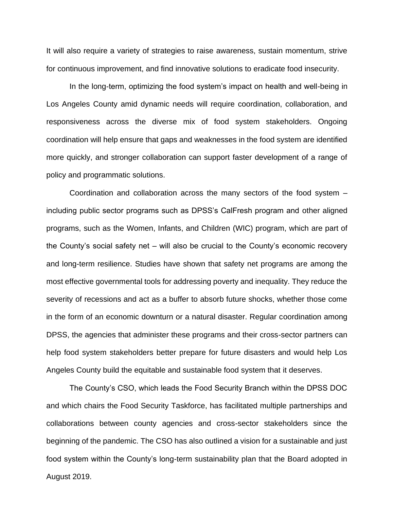It will also require a variety of strategies to raise awareness, sustain momentum, strive for continuous improvement, and find innovative solutions to eradicate food insecurity.

In the long-term, optimizing the food system's impact on health and well-being in Los Angeles County amid dynamic needs will require coordination, collaboration, and responsiveness across the diverse mix of food system stakeholders. Ongoing coordination will help ensure that gaps and weaknesses in the food system are identified more quickly, and stronger collaboration can support faster development of a range of policy and programmatic solutions.

Coordination and collaboration across the many sectors of the food system – including public sector programs such as DPSS's CalFresh program and other aligned programs, such as the Women, Infants, and Children (WIC) program, which are part of the County's social safety net – will also be crucial to the County's economic recovery and long-term resilience. Studies have shown that safety net programs are among the most effective governmental tools for addressing poverty and inequality. They reduce the severity of recessions and act as a buffer to absorb future shocks, whether those come in the form of an economic downturn or a natural disaster. Regular coordination among DPSS, the agencies that administer these programs and their cross-sector partners can help food system stakeholders better prepare for future disasters and would help Los Angeles County build the equitable and sustainable food system that it deserves.

The County's CSO, which leads the Food Security Branch within the DPSS DOC and which chairs the Food Security Taskforce, has facilitated multiple partnerships and collaborations between county agencies and cross-sector stakeholders since the beginning of the pandemic. The CSO has also outlined a vision for a sustainable and just food system within the County's long-term sustainability plan that the Board adopted in August 2019.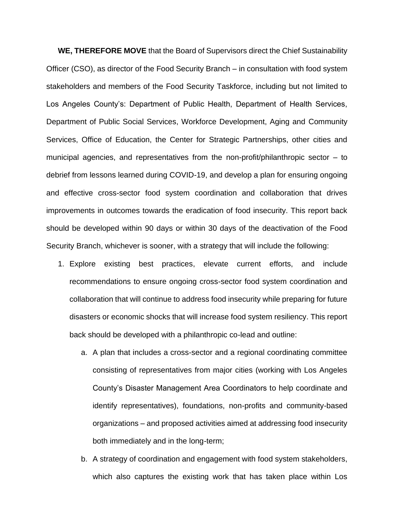**WE, THEREFORE MOVE** that the Board of Supervisors direct the Chief Sustainability Officer (CSO), as director of the Food Security Branch – in consultation with food system stakeholders and members of the Food Security Taskforce, including but not limited to Los Angeles County's: Department of Public Health, Department of Health Services, Department of Public Social Services, Workforce Development, Aging and Community Services, Office of Education, the Center for Strategic Partnerships, other cities and municipal agencies, and representatives from the non-profit/philanthropic sector  $-$  to debrief from lessons learned during COVID-19, and develop a plan for ensuring ongoing and effective cross-sector food system coordination and collaboration that drives improvements in outcomes towards the eradication of food insecurity. This report back should be developed within 90 days or within 30 days of the deactivation of the Food Security Branch, whichever is sooner, with a strategy that will include the following:

- 1. Explore existing best practices, elevate current efforts, and include recommendations to ensure ongoing cross-sector food system coordination and collaboration that will continue to address food insecurity while preparing for future disasters or economic shocks that will increase food system resiliency. This report back should be developed with a philanthropic co-lead and outline:
	- a. A plan that includes a cross-sector and a regional coordinating committee consisting of representatives from major cities (working with Los Angeles County's Disaster Management Area Coordinators to help coordinate and identify representatives), foundations, non-profits and community-based organizations – and proposed activities aimed at addressing food insecurity both immediately and in the long-term;
	- b. A strategy of coordination and engagement with food system stakeholders, which also captures the existing work that has taken place within Los